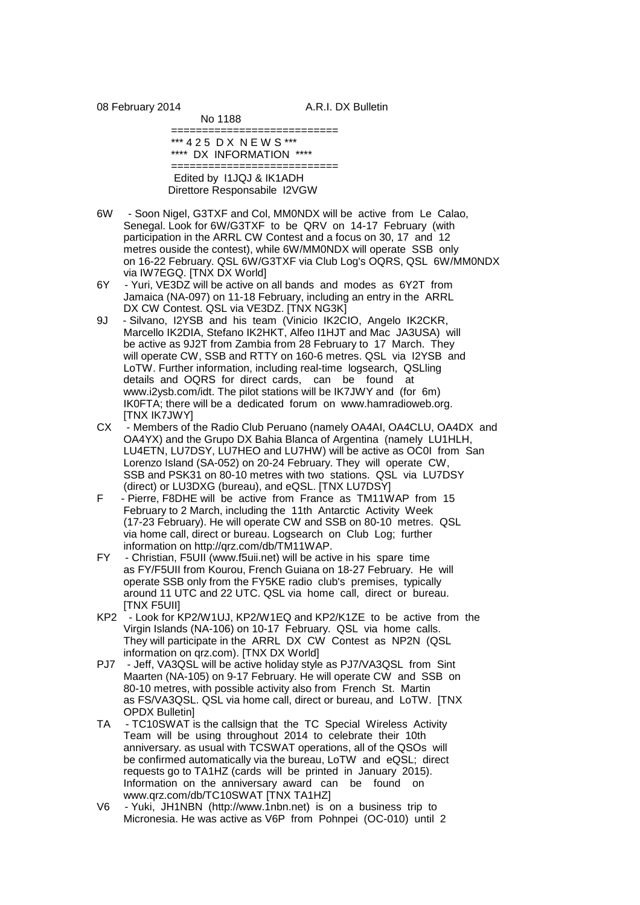08 February 2014 **A.R.I. DX Bulletin** 

 =========================== \*\*\* 4 2 5 D X N E W S \*\*\* \*\*\*\* DX INFORMATION \*\*\*\*

No 1188

 =========================== Edited by I1JQJ & IK1ADH Direttore Responsabile I2VGW

- 6W Soon Nigel, G3TXF and Col, MM0NDX will be active from Le Calao, Senegal. Look for 6W/G3TXF to be QRV on 14-17 February (with participation in the ARRL CW Contest and a focus on 30, 17 and 12 metres ouside the contest), while 6W/MM0NDX will operate SSB only on 16-22 February. QSL 6W/G3TXF via Club Log's OQRS, QSL 6W/MM0NDX via IW7EGQ. [TNX DX World]
- 6Y Yuri, VE3DZ will be active on all bands and modes as 6Y2T from Jamaica (NA-097) on 11-18 February, including an entry in the ARRL DX CW Contest. QSL via VE3DZ. [TNX NG3K]
- 9J Silvano, I2YSB and his team (Vinicio IK2CIO, Angelo IK2CKR, Marcello IK2DIA, Stefano IK2HKT, Alfeo I1HJT and Mac JA3USA) will be active as 9J2T from Zambia from 28 February to 17 March. They will operate CW, SSB and RTTY on 160-6 metres. QSL via I2YSB and LoTW. Further information, including real-time logsearch, QSLling details and OQRS for direct cards, can be found at www.i2ysb.com/idt. The pilot stations will be IK7JWY and (for 6m) IK0FTA; there will be a dedicated forum on www.hamradioweb.org. [TNX IK7JWY]
- CX Members of the Radio Club Peruano (namely OA4AI, OA4CLU, OA4DX and OA4YX) and the Grupo DX Bahia Blanca of Argentina (namely LU1HLH, LU4ETN, LU7DSY, LU7HEO and LU7HW) will be active as OC0I from San Lorenzo Island (SA-052) on 20-24 February. They will operate CW, SSB and PSK31 on 80-10 metres with two stations. QSL via LU7DSY (direct) or LU3DXG (bureau), and eQSL. [TNX LU7DSY]<br>F - Pierre, F8DHE will be active from France as TM11W
- Pierre, F8DHE will be active from France as TM11WAP from 15 February to 2 March, including the 11th Antarctic Activity Week (17-23 February). He will operate CW and SSB on 80-10 metres. QSL via home call, direct or bureau. Logsearch on Club Log; further information on http://qrz.com/db/TM11WAP.
- FY Christian, F5UII (www.f5uii.net) will be active in his spare time as FY/F5UII from Kourou, French Guiana on 18-27 February. He will operate SSB only from the FY5KE radio club's premises, typically around 11 UTC and 22 UTC. QSL via home call, direct or bureau. [TNX F5UII]
- KP2 Look for KP2/W1UJ, KP2/W1EQ and KP2/K1ZE to be active from the Virgin Islands (NA-106) on 10-17 February. QSL via home calls. They will participate in the ARRL DX CW Contest as NP2N (QSL information on qrz.com). [TNX DX World]
- PJ7 Jeff, VA3QSL will be active holiday style as PJ7/VA3QSL from Sint Maarten (NA-105) on 9-17 February. He will operate CW and SSB on 80-10 metres, with possible activity also from French St. Martin as FS/VA3QSL. QSL via home call, direct or bureau, and LoTW. [TNX OPDX Bulletin]
- TA TC10SWAT is the callsign that the TC Special Wireless Activity Team will be using throughout 2014 to celebrate their 10th anniversary. as usual with TCSWAT operations, all of the QSOs will be confirmed automatically via the bureau, LoTW and eQSL; direct requests go to TA1HZ (cards will be printed in January 2015). Information on the anniversary award can be found on www.qrz.com/db/TC10SWAT [TNX TA1HZ]<br>V6 - Yuki. JH1NBN (http://www.1nbn.net) is o
- Yuki, JH1NBN (http://www.1nbn.net) is on a business trip to Micronesia. He was active as V6P from Pohnpei (OC-010) until 2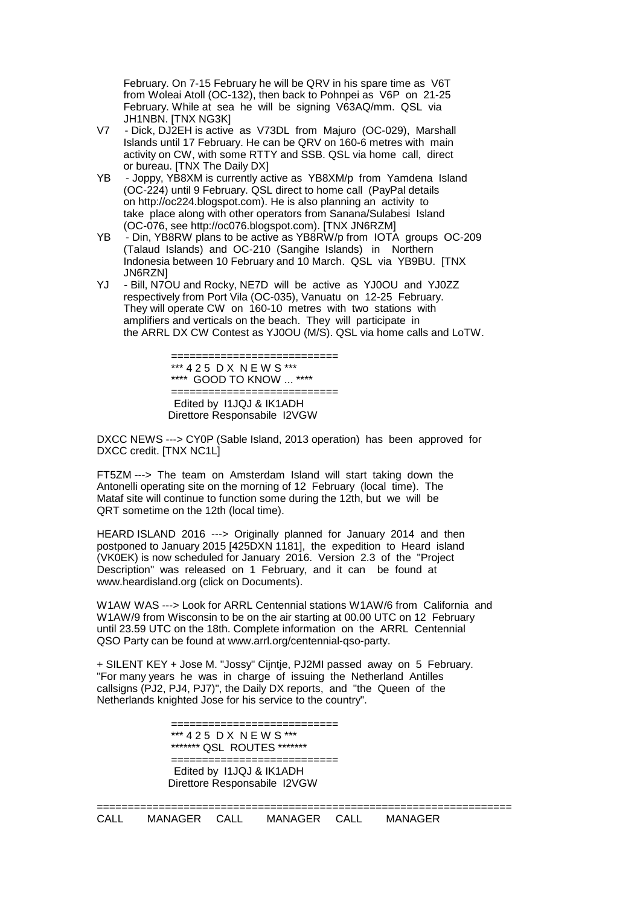February. On 7-15 February he will be QRV in his spare time as V6T from Woleai Atoll (OC-132), then back to Pohnpei as V6P on 21-25 February. While at sea he will be signing V63AQ/mm. QSL via JH1NBN. [TNX NG3K]

- V7 Dick, DJ2EH is active as V73DL from Majuro (OC-029), Marshall Islands until 17 February. He can be QRV on 160-6 metres with main activity on CW, with some RTTY and SSB. QSL via home call, direct or bureau. [TNX The Daily DX]
- YB Joppy, YB8XM is currently active as YB8XM/p from Yamdena Island (OC-224) until 9 February. QSL direct to home call (PayPal details on http://oc224.blogspot.com). He is also planning an activity to take place along with other operators from Sanana/Sulabesi Island (OC-076, see http://oc076.blogspot.com). [TNX JN6RZM]
- Din, YB8RW plans to be active as YB8RW/p from IOTA groups OC-209 (Talaud Islands) and OC-210 (Sangihe Islands) in Northern Indonesia between 10 February and 10 March. QSL via YB9BU. [TNX JN6RZN]
- YJ Bill, N7OU and Rocky, NE7D will be active as YJ0OU and YJ0ZZ respectively from Port Vila (OC-035), Vanuatu on 12-25 February. They will operate CW on 160-10 metres with two stations with amplifiers and verticals on the beach. They will participate in the ARRL DX CW Contest as YJ0OU (M/S). QSL via home calls and LoTW.

============================= \*\*\* 4 2 5 D X N E W S \*\*\* \*\*\*\* GOOD TO KNOW ... \*\*\*\*

============================= Edited by I1JQJ & IK1ADH Direttore Responsabile I2VGW

DXCC NEWS ---> CY0P (Sable Island, 2013 operation) has been approved for DXCC credit. [TNX NC1L]

FT5ZM ---> The team on Amsterdam Island will start taking down the Antonelli operating site on the morning of 12 February (local time). The Mataf site will continue to function some during the 12th, but we will be QRT sometime on the 12th (local time).

HEARD ISLAND 2016 ---> Originally planned for January 2014 and then postponed to January 2015 [425DXN 1181], the expedition to Heard island (VK0EK) is now scheduled for January 2016. Version 2.3 of the "Project Description" was released on 1 February, and it can be found at www.heardisland.org (click on Documents).

W1AW WAS ---> Look for ARRL Centennial stations W1AW/6 from California and W1AW/9 from Wisconsin to be on the air starting at 00.00 UTC on 12 February until 23.59 UTC on the 18th. Complete information on the ARRL Centennial QSO Party can be found at www.arrl.org/centennial-qso-party.

+ SILENT KEY + Jose M. "Jossy" Cijntje, PJ2MI passed away on 5 February. "For many years he was in charge of issuing the Netherland Antilles callsigns (PJ2, PJ4, PJ7)", the Daily DX reports, and "the Queen of the Netherlands knighted Jose for his service to the country".

============================= \*\*\* 4 2 5 D X N E W S \*\*\* \*\*\*\*\*\*\* QSL ROUTES \*\*\*\*\*\*\*

============================= Edited by I1JQJ & IK1ADH Direttore Responsabile I2VGW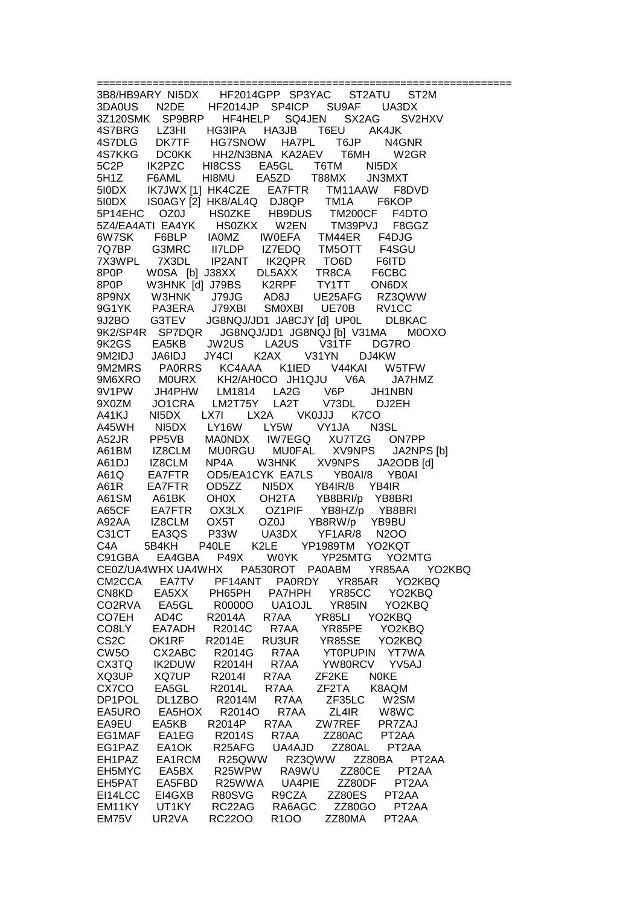============= 3B8/HB9ARY NI5DX HF2014GPP SP3YAC ST2ATU ST2M 3DA0US N2DE HF2014JP SP4ICP SU9AF UA3DX 3Z120SMK SP9BRP HF4HELP SQ4JEN SX2AG SV2HXV 4S7BRG LZ3HI HG3IPA HA3JB T6EU AK4JK 4S7DLG DK7TF HG7SNOW HA7PL T6JP N4GNR 4S7KKG DC0KK HH2/N3BNA KA2AEV T6MH W2GR 5C2P IK2PZC HI8CSS EA5GL T6TM NI5DX 5H1Z F6AML HI8MU EA5ZD T88MX JN3MXT 5I0DX IK7JWX [1] HK4CZE EA7FTR TM11AAW F8DVD 5I0DX IS0AGY [2] HK8/AL4Q DJ8QP TM1A F6KOP 5P14EHC OZ0J HS0ZKE HB9DUS TM200CF F4DTO 5Z4/EA4ATI EA4YK HS0ZKX W2EN TM39PVJ F8GGZ 6W7SK F6BLP IA0MZ IW0EFA TM44ER F4DJG 7Q7BP G3MRC II7LDP IZ7EDQ TM5OTT F4SGU 7X3WPL 7X3DL IP2ANT IK2QPR TO6D F6ITD 8P0P W0SA [b] J38XX DL5AXX TR8CA F6CBC 8P0P W3HNK [d] J79BS K2RPF TY1TT ON6DX 8P9NX W3HNK J79JG AD8J UE25AFG RZ3QWW 9G1YK PA3ERA J79XBI SM0XBI UE70B RV1CC 9J2BO G3TEV JG8NQJ/JD1 JA8CJY [d] UP0L DL8KAC 9K2/SP4R SP7DQR JG8NQJ/JD1 JG8NQJ [b] V31MA M0OXO 9K2GS EA5KB JW2US LA2US V31TF DG7RO 9M2IDJ JA6IDJ JY4CI K2AX V31YN DJ4KW 9M2MRS PA0RRS KC4AAA K1IED V44KAI W5TFW 9M6XRO M0URX KH2/AH0COJH1QJU V6A JA7HMZ<br>9V1PW JH4PHW LM1814 LA2G V6P JH1NBN<br>9X0ZM JO1CRA LM2T75Y LA2T V73DL DJ2EH 9V1PW JH4PHW LM1814 LA2G V6P JH1NBN 9X0ZM JO1CRA LM2T75Y LA2T V73DL DJ2EH A41KJ NI5DX LX7I LX2A VK0JJJ K7CO A45WH NI5DX LY16W LY5W VY1JA N3SL A52JR PP5VB MA0NDX IW7EGQ XU7TZG ON7PP A61BM IZ8CLM MU0RGU MU0FAL XV9NPS JA2NPS [b] A61DJ IZ8CLM NP4A W3HNK XV9NPS JA2ODB [d] A61Q EA7FTR OD5/EA1CYK EA7LS YB0AI/8 YB0AI<br>A61R EA7FTR OD5ZZ NI5DX YB4IR/8 YB4IR A61R EA7FTR OD5ZZ NI5DX<br>A61SM A61BK OH0X OH2TA YB8BRI/p YB8BRI A65CF EA7FTR OX3LX OZ1PIF YB8HZ/p YB8BRI A92AA IZ8CLM OX5T OZ0J YB8RW/p YB9BU C31CT EA3QS P33W UA3DX YF1AR/8 N2OO C4A 5B4KH P40LE K2LE YP1989TM YO2KQT C91GBA EA4GBA P49X W0YK YP25MTG YO2MTG CE0Z/UA4WHX UA4WHX PA530ROT PA0ABM YR85AA YO2KBQ CM2CCA EA7TV PF14ANT PA0RDY YR85AR YO2KBQ CN8KD EA5XX PH65PH PA7HPH YR85CC YO2KBQ CO2RVA EA5GL R0000O UA1OJL YR85IN YO2KBQ<br>CO7EH AD4C R2014A R7AA YR85LI YO2KBQ CO7EH AD4C R2014A R7AA<br>CO8LY EA7ADH R2014C R7AA YR85PE YO2KBQ CS2C OK1RF R2014E RU3UR YR85SE YO2KBQ<br>CW5O CX2ABC R2014G R7AA YT0PUPIN YT7WA CW5O CX2ABC R2014G R7AA<br>CX3TQ IK2DUW R2014H R7AA YW80RCV YV5AJ XQ3UP XQ7UP R2014I R7AA ZF2KE N0KE CX7CO EA5GL R2014L R7AA ZF2TA K8AQM<br>DP1POL DL1ZBO R2014M R7AA ZF35LC W2SI DP1POL DL1ZBO R2014M R7AA ZF35LC W2SM<br>EA5URO EA5HOX R2014O R7AA ZL4IR W8WC EA5HOX EA9EU EA5KB R2014P R7AA ZW7REF PR7ZAJ EG1MAF EA1EG R2014S R7AA ZZ80AC PT2AA UA4AJD EH1PAZ EA1RCM R25QWW RZ3QWW ZZ80BA PT2AA<br>EH5MYC EA5BX R25WPW RA9WU ZZ80CE PT2AA EH5MYC EA5BX R25WPW RA9WU ZZ80CE PT2AA<br>EH5PAT EA5FBD R25WWA UA4PIE ZZ80DF PT2AA EH5PAT EA5FBD R25WWA UA4PIE ZZ80DF PT2AA EI14LCC EI4GXB R80SVG R9CZA ZZ80ES PT2AA<br>EM11KY UT1KY RC22AG RA6AGC ZZ80GO PT2AA EM11KY UT1KY RC22AG RA6AGC ZZ80GO PT2AA EM75V UR2VA RC22OO R1OO ZZ80MA PT2AA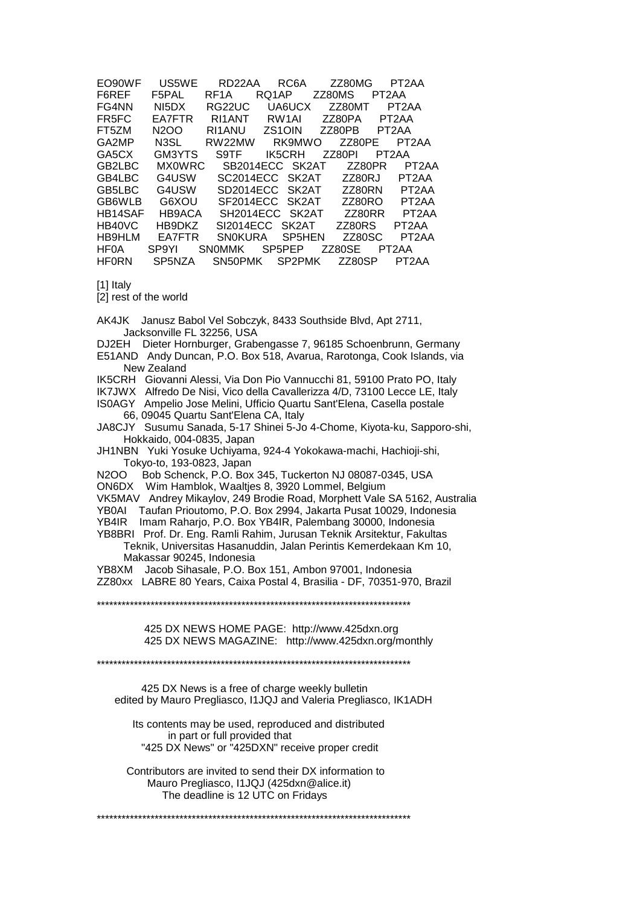| EO90WF       | US5WE             | RD22AA         | RC <sub>6</sub> A   | ZZ80MG        | PT <sub>2</sub> AA |
|--------------|-------------------|----------------|---------------------|---------------|--------------------|
| F6REF        | F5PAL             | RF1A           | RQ1AP               | ZZ80MS        | PT2AA              |
| FG4NN        | NI5DX             | RG22UC         | UA6UCX              | ZZ80MT        | PT <sub>2</sub> AA |
| FR5FC        | <b>EA7FTR</b>     | RI1ANT         | RW <sub>1</sub> AI  | ZZ80PA        | PT <sub>2</sub> AA |
| FT5ZM        | N2OO              | RI1ANU         | ZS <sub>1</sub> OIN | ZZ80PB        | PT2AA              |
| GA2MP        | N <sub>3</sub> SL | RW22MW         | RK9MWO              | <b>ZZ80PE</b> | PT <sub>2</sub> AA |
| GA5CX        | GM3YTS            | S9TF           | IK5CRH              | ZZ80PI        | PT <sub>2</sub> AA |
| GB2LBC       | <b>MX0WRC</b>     |                | SB2014ECC SK2AT     | ZZ80PR        | PT <sub>2</sub> AA |
| GB4LBC       | G4USW             |                | SC2014ECC SK2AT     | ZZ80RJ        | PT <sub>2</sub> AA |
| GB5LBC       | G4USW             |                | SD2014ECC SK2AT     | ZZ80RN        | PT <sub>2</sub> AA |
| GB6WLB       | G6XOU             |                | SF2014ECC SK2AT     | ZZ80RO        | PT <sub>2</sub> AA |
| HB14SAF      | HB9ACA            |                | SH2014ECC SK2AT     | ZZ80RR        | PT <sub>2</sub> AA |
| HB40VC       | HB9DKZ            |                | SI2014ECC SK2AT     | ZZ80RS        | PT2AA              |
| HB9HLM       | <b>EA7FTR</b>     | <b>SNOKURA</b> | SP5HEN              | ZZ80SC        | PT <sub>2</sub> AA |
| HF0A         | SP9YI             | <b>SNOMMK</b>  | SP <sub>5</sub> PEP | ZZ80SE        | PT <sub>2</sub> AA |
| <b>HF0RN</b> | SP5NZA            | SN50PMK        | SP2PMK              | ZZ80SP        | PT2AA              |
|              |                   |                |                     |               |                    |

[1] Italy

[2] rest of the world

AK4JK Janusz Babol Vel Sobczyk, 8433 Southside Blvd, Apt 2711, Jacksonville FL 32256, USA

DJ2EH Dieter Hornburger, Grabengasse 7, 96185 Schoenbrunn, Germany

E51AND Andy Duncan, P.O. Box 518, Avarua, Rarotonga, Cook Islands, via New Zealand

IK5CRH Giovanni Alessi, Via Don Pio Vannucchi 81, 59100 Prato PO, Italy

IK7JWX Alfredo De Nisi, Vico della Cavallerizza 4/D, 73100 Lecce LE, Italy

IS0AGY Ampelio Jose Melini, Ufficio Quartu Sant'Elena, Casella postale 66, 09045 Quartu Sant'Elena CA, Italy

JA8CJY Susumu Sanada, 5-17 Shinei 5-Jo 4-Chome, Kiyota-ku, Sapporo-shi, Hokkaido, 004-0835, Japan

JH1NBN Yuki Yosuke Uchiyama, 924-4 Yokokawa-machi, Hachioji-shi, Tokyo-to, 193-0823, Japan

N2OO Bob Schenck, P.O. Box 345, Tuckerton NJ 08087-0345, USA

ON6DX Wim Hamblok, Waaltjes 8, 3920 Lommel, Belgium

VK5MAV Andrey Mikaylov, 249 Brodie Road, Morphett Vale SA 5162, Australia YB0AI Taufan Prioutomo, P.O. Box 2994, Jakarta Pusat 10029, Indonesia YB4IR Imam Raharjo, P.O. Box YB4IR, Palembang 30000, Indonesia

YB8BRI Prof. Dr. Eng. Ramli Rahim, Jurusan Teknik Arsitektur, Fakultas Teknik, Universitas Hasanuddin, Jalan Perintis Kemerdekaan Km 10, Makassar 90245, Indonesia

YB8XM Jacob Sihasale, P.O. Box 151, Ambon 97001, Indonesia ZZ80xx LABRE 80 Years, Caixa Postal 4, Brasilia - DF, 70351-970, Brazil

\*\*\*\*\*\*\*\*\*\*\*\*\*\*\*\*\*\*\*\*\*\*\*\*\*\*\*\*\*\*\*\*\*\*\*\*\*\*\*\*\*\*\*\*\*\*\*\*\*\*\*\*\*\*\*\*\*\*\*\*\*\*\*\*\*\*\*\*\*\*\*\*\*\*\*\*

 425 DX NEWS HOME PAGE: http://www.425dxn.org 425 DX NEWS MAGAZINE: http://www.425dxn.org/monthly

\*\*\*\*\*\*\*\*\*\*\*\*\*\*\*\*\*\*\*\*\*\*\*\*\*\*\*\*\*\*\*\*\*\*\*\*\*\*\*\*\*\*\*\*\*\*\*\*\*\*\*\*\*\*\*\*\*\*\*\*\*\*\*\*\*\*\*\*\*\*\*\*\*\*\*\*

 425 DX News is a free of charge weekly bulletin edited by Mauro Pregliasco, I1JQJ and Valeria Pregliasco, IK1ADH

 Its contents may be used, reproduced and distributed in part or full provided that "425 DX News" or "425DXN" receive proper credit

 Contributors are invited to send their DX information to Mauro Pregliasco, I1JQJ (425dxn@alice.it) The deadline is 12 UTC on Fridays

\*\*\*\*\*\*\*\*\*\*\*\*\*\*\*\*\*\*\*\*\*\*\*\*\*\*\*\*\*\*\*\*\*\*\*\*\*\*\*\*\*\*\*\*\*\*\*\*\*\*\*\*\*\*\*\*\*\*\*\*\*\*\*\*\*\*\*\*\*\*\*\*\*\*\*\*